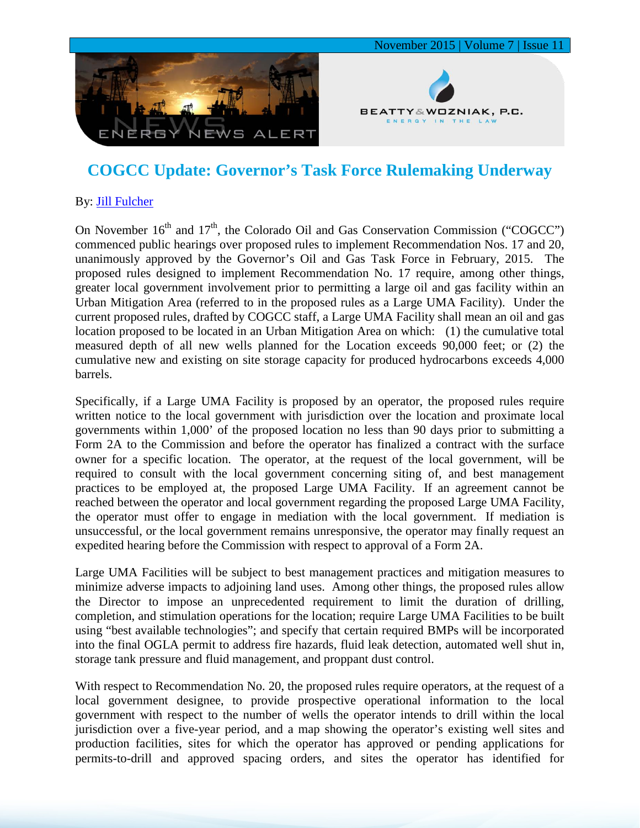

## **COGCC Update: Governor's Task Force Rulemaking Underway**

## By: [Jill Fulcher](http://www.bwenergylaw.com/#!jill-fulcher/cf4t)

On November  $16<sup>th</sup>$  and  $17<sup>th</sup>$ , the Colorado Oil and Gas Conservation Commission ("COGCC") commenced public hearings over proposed rules to implement Recommendation Nos. 17 and 20, unanimously approved by the Governor's Oil and Gas Task Force in February, 2015. The proposed rules designed to implement Recommendation No. 17 require, among other things, greater local government involvement prior to permitting a large oil and gas facility within an Urban Mitigation Area (referred to in the proposed rules as a Large UMA Facility). Under the current proposed rules, drafted by COGCC staff, a Large UMA Facility shall mean an oil and gas location proposed to be located in an Urban Mitigation Area on which: (1) the cumulative total measured depth of all new wells planned for the Location exceeds 90,000 feet; or (2) the cumulative new and existing on site storage capacity for produced hydrocarbons exceeds 4,000 barrels.

Specifically, if a Large UMA Facility is proposed by an operator, the proposed rules require written notice to the local government with jurisdiction over the location and proximate local governments within 1,000' of the proposed location no less than 90 days prior to submitting a Form 2A to the Commission and before the operator has finalized a contract with the surface owner for a specific location. The operator, at the request of the local government, will be required to consult with the local government concerning siting of, and best management practices to be employed at, the proposed Large UMA Facility. If an agreement cannot be reached between the operator and local government regarding the proposed Large UMA Facility, the operator must offer to engage in mediation with the local government. If mediation is unsuccessful, or the local government remains unresponsive, the operator may finally request an expedited hearing before the Commission with respect to approval of a Form 2A.

Large UMA Facilities will be subject to best management practices and mitigation measures to minimize adverse impacts to adjoining land uses. Among other things, the proposed rules allow the Director to impose an unprecedented requirement to limit the duration of drilling, completion, and stimulation operations for the location; require Large UMA Facilities to be built using "best available technologies"; and specify that certain required BMPs will be incorporated into the final OGLA permit to address fire hazards, fluid leak detection, automated well shut in, storage tank pressure and fluid management, and proppant dust control.

With respect to Recommendation No. 20, the proposed rules require operators, at the request of a local government designee, to provide prospective operational information to the local government with respect to the number of wells the operator intends to drill within the local jurisdiction over a five-year period, and a map showing the operator's existing well sites and production facilities, sites for which the operator has approved or pending applications for permits-to-drill and approved spacing orders, and sites the operator has identified for